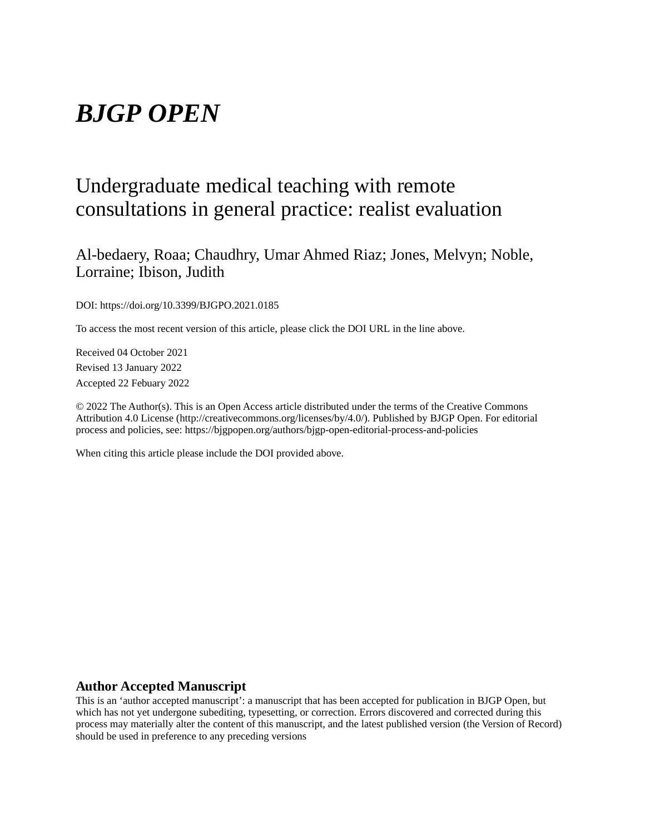# *BJGP OPEN*

## Undergraduate medical teaching with remote consultations in general practice: realist evaluation

Al-bedaery, Roaa; Chaudhry, Umar Ahmed Riaz; Jones, Melvyn; Noble, Lorraine; Ibison, Judith

DOI: https://doi.org/10.3399/BJGPO.2021.0185

To access the most recent version of this article, please click the DOI URL in the line above.

Received 04 October 2021 Revised 13 January 2022 Accepted 22 Febuary 2022

© 2022 The Author(s). This is an Open Access article distributed under the terms of the Creative Commons Attribution 4.0 License (http://creativecommons.org/licenses/by/4.0/). Published by BJGP Open. For editorial process and policies, see: https://bjgpopen.org/authors/bjgp-open-editorial-process-and-policies

When citing this article please include the DOI provided above.

#### **Author Accepted Manuscript**

This is an 'author accepted manuscript': a manuscript that has been accepted for publication in BJGP Open, but which has not yet undergone subediting, typesetting, or correction. Errors discovered and corrected during this process may materially alter the content of this manuscript, and the latest published version (the Version of Record) should be used in preference to any preceding versions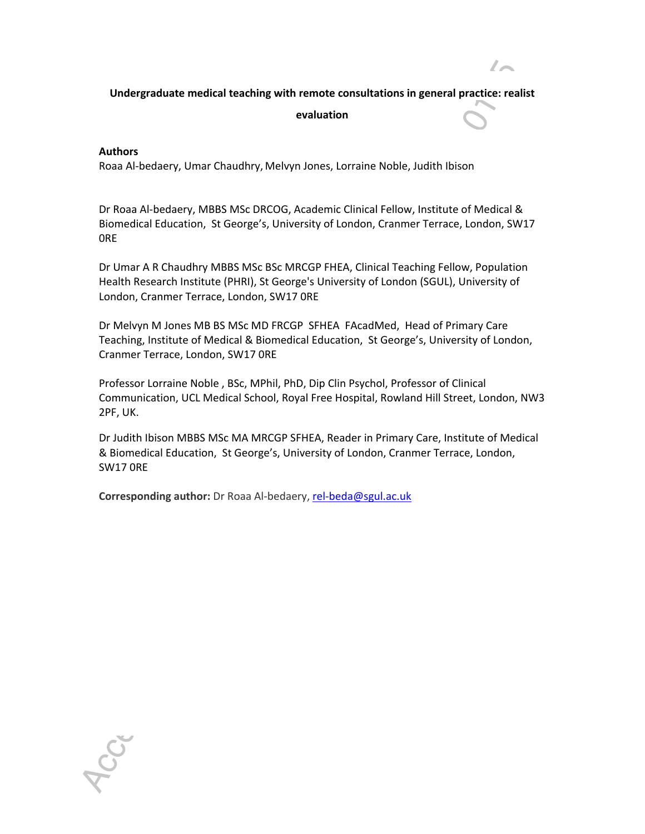#### **Undergraduate medical teaching with remote consultations in general practice: realist**

 $\prime$ 

**evaluation** 

#### **Authors**

SO

Roaa Al-bedaery, Umar Chaudhry, Melvyn Jones, Lorraine Noble, Judith Ibison

Dr Roaa Al-bedaery, MBBS MSc DRCOG, Academic Clinical Fellow, Institute of Medical & Biomedical Education, St George's, University of London, Cranmer Terrace, London, SW17 0RE

Dr Umar A R Chaudhry MBBS MSc BSc MRCGP FHEA, Clinical Teaching Fellow, Population Health Research Institute (PHRI), St George's University of London (SGUL), University of London, Cranmer Terrace, London, SW17 0RE

Dr Melvyn M Jones MB BS MSc MD FRCGP SFHEA FAcadMed, Head of Primary Care Teaching, Institute of Medical & Biomedical Education, St George's, University of London, Cranmer Terrace, London, SW17 0RE

Professor Lorraine Noble , BSc, MPhil, PhD, Dip Clin Psychol, Professor of Clinical Communication, UCL Medical School, Royal Free Hospital, Rowland Hill Street, London, NW3 2PF, UK.

Dr Judith Ibison MBBS MSc MA MRCGP SFHEA, Reader in Primary Care, Institute of Medical & Biomedical Education, St George's, University of London, Cranmer Terrace, London, SW17 0RE

**Corresponding author:** Dr Roaa Al-bedaery, rel-beda@sgul.ac.uk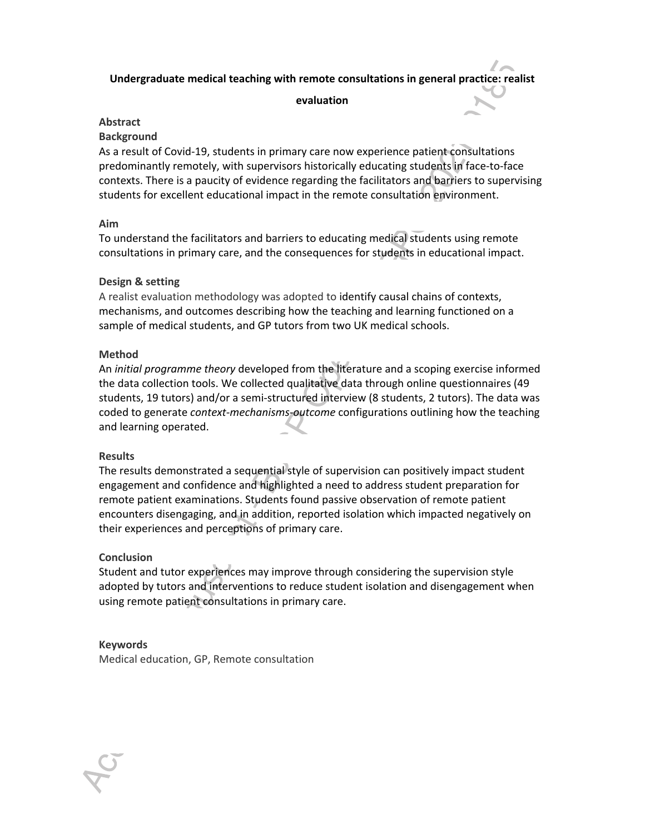#### **Undergraduate medical teaching with remote consultations in general practice: realist**

#### **evaluation**

#### **Abstract**

#### **Background**

As a result of Covid-19, students in primary care now experience patient consultations predominantly remotely, with supervisors historically educating students in face-to-face contexts. There is a paucity of evidence regarding the facilitators and barriers to supervising students for excellent educational impact in the remote consultation environment.

#### **Aim**

To understand the facilitators and barriers to educating medical students using remote consultations in primary care, and the consequences for students in educational impact.

#### **Design & setting**

A realist evaluation methodology was adopted to identify causal chains of contexts, mechanisms, and outcomes describing how the teaching and learning functioned on a sample of medical students, and GP tutors from two UK medical schools.

#### **Method**

An *initial programme theory* developed from the literature and a scoping exercise informed the data collection tools. We collected qualitative data through online questionnaires (49 students, 19 tutors) and/or a semi-structured interview (8 students, 2 tutors). The data was coded to generate *context-mechanisms-outcome* configurations outlining how the teaching and learning operated.

#### **Results**

The results demonstrated a sequential style of supervision can positively impact student engagement and confidence and highlighted a need to address student preparation for remote patient examinations. Students found passive observation of remote patient encounters disengaging, and in addition, reported isolation which impacted negatively on their experiences and perceptions of primary care.

#### **Conclusion**

Student and tutor experiences may improve through considering the supervision style adopted by tutors and interventions to reduce student isolation and disengagement when using remote patient consultations in primary care.

#### **Keywords**

Medical education, GP, Remote consultation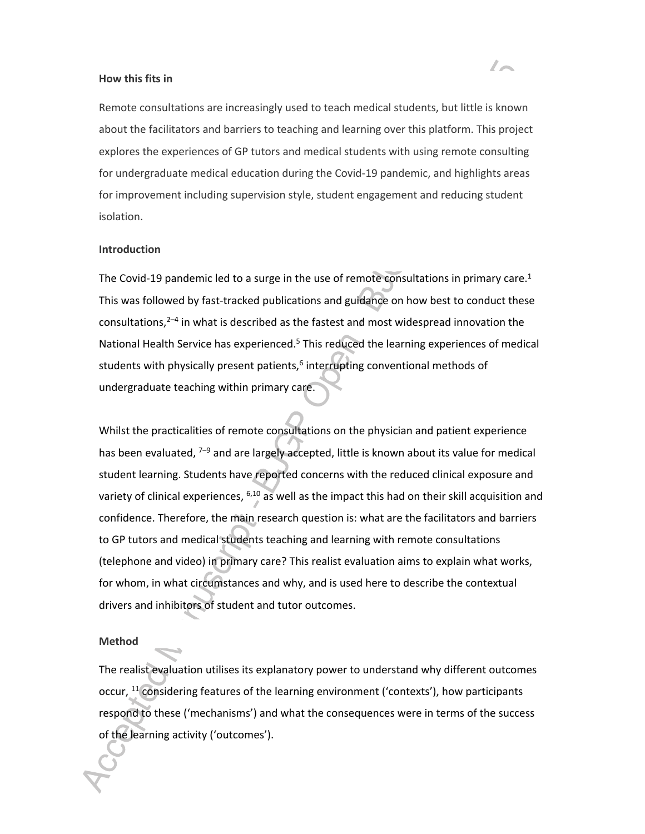#### **How this fits in**

Remote consultations are increasingly used to teach medical students, but little is known about the facilitators and barriers to teaching and learning over this platform. This project explores the experiences of GP tutors and medical students with using remote consulting for undergraduate medical education during the Covid-19 pandemic, and highlights areas for improvement including supervision style, student engagement and reducing student isolation.

#### **Introduction**

The Covid-19 pandemic led to a surge in the use of remote consultations in primary care.<sup>1</sup> This was followed by fast-tracked publications and guidance on how best to conduct these consultations, $2-4$  in what is described as the fastest and most widespread innovation the National Health Service has experienced.<sup>5</sup> This reduced the learning experiences of medical students with physically present patients, $6$  interrupting conventional methods of undergraduate teaching within primary care.

Whilst the practicalities of remote consultations on the physician and patient experience has been evaluated, <sup>7–9</sup> and are largely accepted, little is known about its value for medical student learning. Students have reported concerns with the reduced clinical exposure and variety of clinical experiences, <sup>6,10</sup> as well as the impact this had on their skill acquisition and confidence. Therefore, the main research question is: what are the facilitators and barriers to GP tutors and medical students teaching and learning with remote consultations (telephone and video) in primary care? This realist evaluation aims to explain what works, for whom, in what circumstances and why, and is used here to describe the contextual drivers and inhibitors of student and tutor outcomes.

#### **Method**

The realist evaluation utilises its explanatory power to understand why different outcomes occur, <sup>11</sup> considering features of the learning environment ('contexts'), how participants respond to these ('mechanisms') and what the consequences were in terms of the success of the learning activity ('outcomes').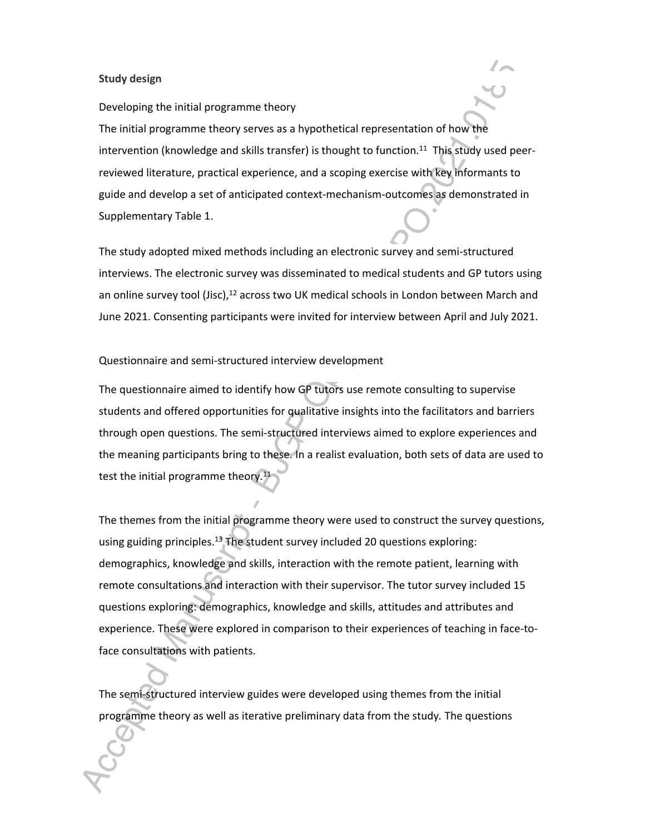#### **Study design**

#### Developing the initial programme theory

The initial programme theory serves as a hypothetical representation of how the intervention (knowledge and skills transfer) is thought to function.<sup>11</sup> This study used peerreviewed literature, practical experience, and a scoping exercise with key informants to guide and develop a set of anticipated context-mechanism-outcomes as demonstrated in Supplementary Table 1.

The study adopted mixed methods including an electronic survey and semi-structured interviews. The electronic survey was disseminated to medical students and GP tutors using an online survey tool (Jisc),<sup>12</sup> across two UK medical schools in London between March and June 2021. Consenting participants were invited for interview between April and July 2021.

#### Questionnaire and semi-structured interview development

The questionnaire aimed to identify how GP tutors use remote consulting to supervise students and offered opportunities for qualitative insights into the facilitators and barriers through open questions. The semi-structured interviews aimed to explore experiences and the meaning participants bring to these. In a realist evaluation, both sets of data are used to test the initial programme theory.<sup>11</sup>

The themes from the initial programme theory were used to construct the survey questions, using guiding principles.<sup>13</sup> The student survey included 20 questions exploring: demographics, knowledge and skills, interaction with the remote patient, learning with remote consultations and interaction with their supervisor. The tutor survey included 15 questions exploring: demographics, knowledge and skills, attitudes and attributes and experience. These were explored in comparison to their experiences of teaching in face-toface consultations with patients.

The semi-structured interview guides were developed using themes from the initial programme theory as well as iterative preliminary data from the study*.* The questions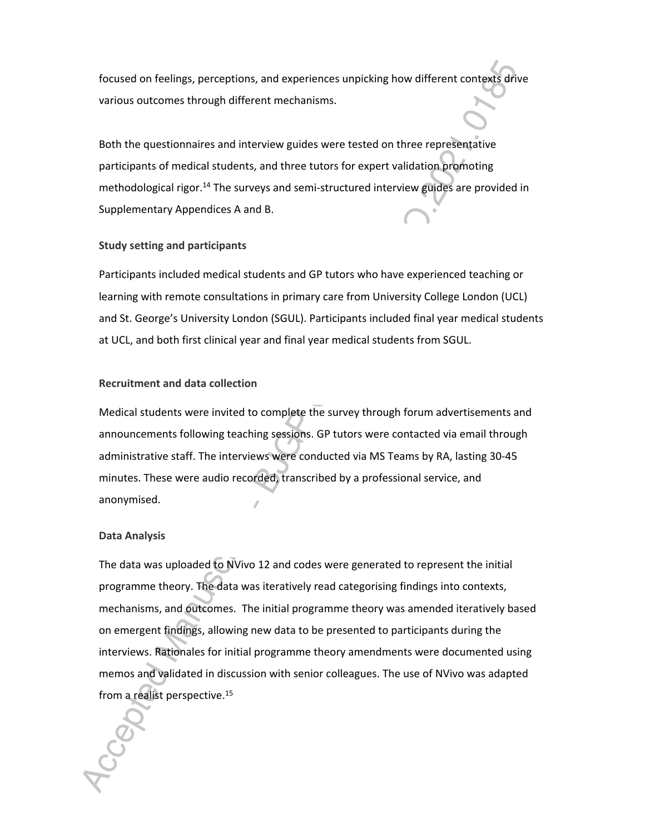focused on feelings, perceptions, and experiences unpicking how different contexts drive various outcomes through different mechanisms.

Both the questionnaires and interview guides were tested on three representative participants of medical students, and three tutors for expert validation promoting methodological rigor.<sup>14</sup> The surveys and semi-structured interview guides are provided in Supplementary Appendices A and B.

#### **Study setting and participants**

Participants included medical students and GP tutors who have experienced teaching or learning with remote consultations in primary care from University College London (UCL) and St. George's University London (SGUL). Participants included final year medical students at UCL, and both first clinical year and final year medical students from SGUL.

#### **Recruitment and data collection**

Medical students were invited to complete the survey through forum advertisements and announcements following teaching sessions. GP tutors were contacted via email through administrative staff. The interviews were conducted via MS Teams by RA, lasting 30-45 minutes. These were audio recorded, transcribed by a professional service, and anonymised.

#### **Data Analysis**

The data was uploaded to NVivo 12 and codes were generated to represent the initial programme theory. The data was iteratively read categorising findings into contexts, mechanisms, and outcomes. The initial programme theory was amended iteratively based on emergent findings, allowing new data to be presented to participants during the interviews. Rationales for initial programme theory amendments were documented using memos and validated in discussion with senior colleagues. The use of NVivo was adapted from a realist perspective.<sup>15</sup>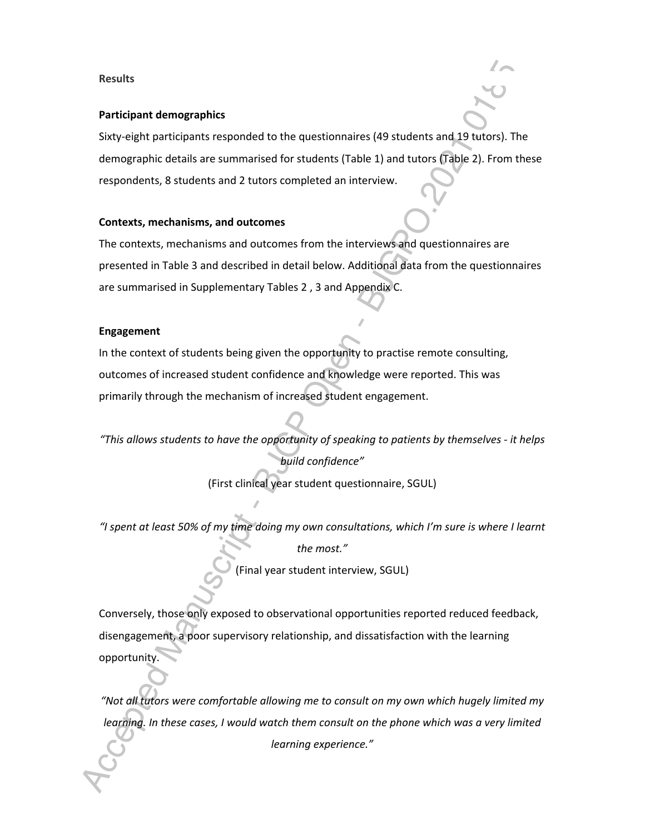#### **Results**

#### **Participant demographics**

Sixty-eight participants responded to the questionnaires (49 students and 19 tutors). The demographic details are summarised for students (Table 1) and tutors (Table 2). From these respondents, 8 students and 2 tutors completed an interview.

#### **Contexts, mechanisms, and outcomes**

The contexts, mechanisms and outcomes from the interviews and questionnaires are presented in Table 3 and described in detail below. Additional data from the questionnaires are summarised in Supplementary Tables 2 , 3 and Appendix C.

#### **Engagement**

In the context of students being given the opportunity to practise remote consulting, outcomes of increased student confidence and knowledge were reported. This was primarily through the mechanism of increased student engagement.

*"This allows students to have the opportunity of speaking to patients by themselves - it helps build confidence"*

(First clinical year student questionnaire, SGUL)

*"I spent at least 50% of my time doing my own consultations, which I'm sure is where I learnt the most."*

(Final year student interview, SGUL)

Conversely, those only exposed to observational opportunities reported reduced feedback, disengagement, a poor supervisory relationship, and dissatisfaction with the learning opportunity.

*"Not all tutors were comfortable allowing me to consult on my own which hugely limited my learning. In these cases, I would watch them consult on the phone which was a very limited learning experience."*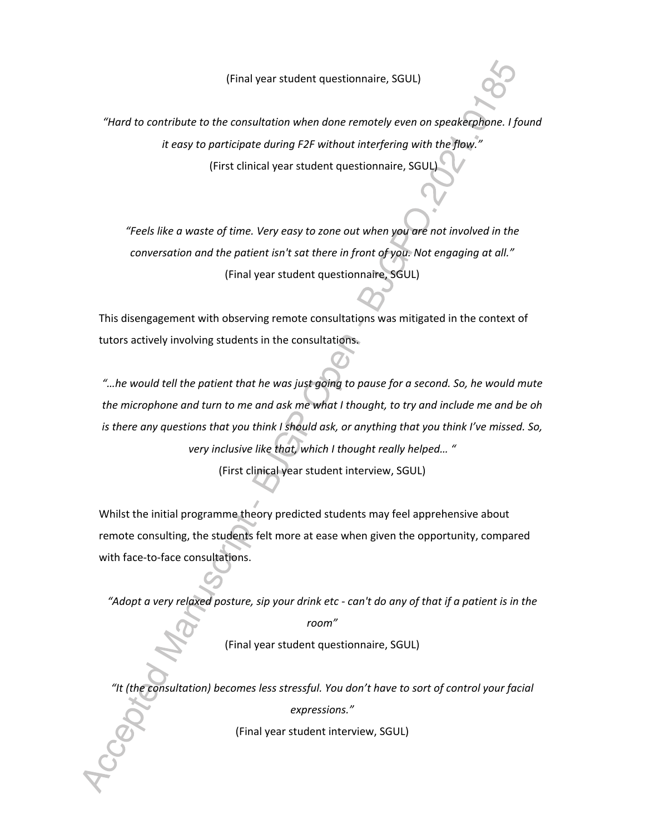(Final year student questionnaire, SGUL)

*"Hard to contribute to the consultation when done remotely even on speakerphone. I found it easy to participate during F2F without interfering with the flow."* (First clinical year student questionnaire, SGUL)

*"Feels like a waste of time. Very easy to zone out when you are not involved in the conversation and the patient isn't sat there in front of you. Not engaging at all."* (Final year student questionnaire, SGUL)

This disengagement with observing remote consultations was mitigated in the context of tutors actively involving students in the consultations.

*"…he would tell the patient that he was just going to pause for a second. So, he would mute the microphone and turn to me and ask me what I thought, to try and include me and be oh is there any questions that you think I should ask, or anything that you think I've missed. So, very inclusive like that, which I thought really helped… "* 

(First clinical year student interview, SGUL)

Whilst the initial programme theory predicted students may feel apprehensive about remote consulting, the students felt more at ease when given the opportunity, compared with face-to-face consultations.

*"Adopt a very relaxed posture, sip your drink etc - can't do any of that if a patient is in the* 

*room"* (Final year student questionnaire, SGUL)

*"It (the consultation) becomes less stressful. You don't have to sort of control your facial* 

*expressions."*

(Final year student interview, SGUL)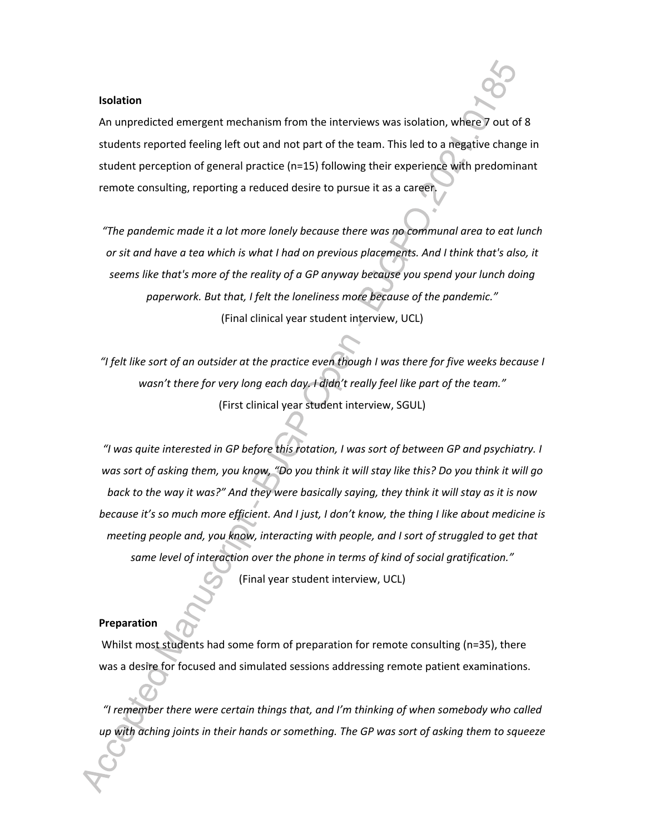#### **Isolation**

An unpredicted emergent mechanism from the interviews was isolation, where 7 out of 8 students reported feeling left out and not part of the team. This led to a negative change in student perception of general practice (n=15) following their experience with predominant remote consulting, reporting a reduced desire to pursue it as a career.

*"The pandemic made it a lot more lonely because there was no communal area to eat lunch or sit and have a tea which is what I had on previous placements. And I think that's also, it seems like that's more of the reality of a GP anyway because you spend your lunch doing paperwork. But that, I felt the loneliness more because of the pandemic."* (Final clinical year student interview, UCL)

*"I felt like sort of an outsider at the practice even though I was there for five weeks because I wasn't there for very long each day. I didn't really feel like part of the team."* (First clinical year student interview, SGUL)

*"I was quite interested in GP before this rotation, I was sort of between GP and psychiatry. I was sort of asking them, you know, "Do you think it will stay like this? Do you think it will go back to the way it was?" And they were basically saying, they think it will stay as it is now because it's so much more efficient. And I just, I don't know, the thing I like about medicine is meeting people and, you know, interacting with people, and I sort of struggled to get that same level of interaction over the phone in terms of kind of social gratification."*

(Final year student interview, UCL)

#### **Preparation**

Whilst most students had some form of preparation for remote consulting (n=35), there was a desire for focused and simulated sessions addressing remote patient examinations.

*"I remember there were certain things that, and I'm thinking of when somebody who called up with aching joints in their hands or something. The GP was sort of asking them to squeeze*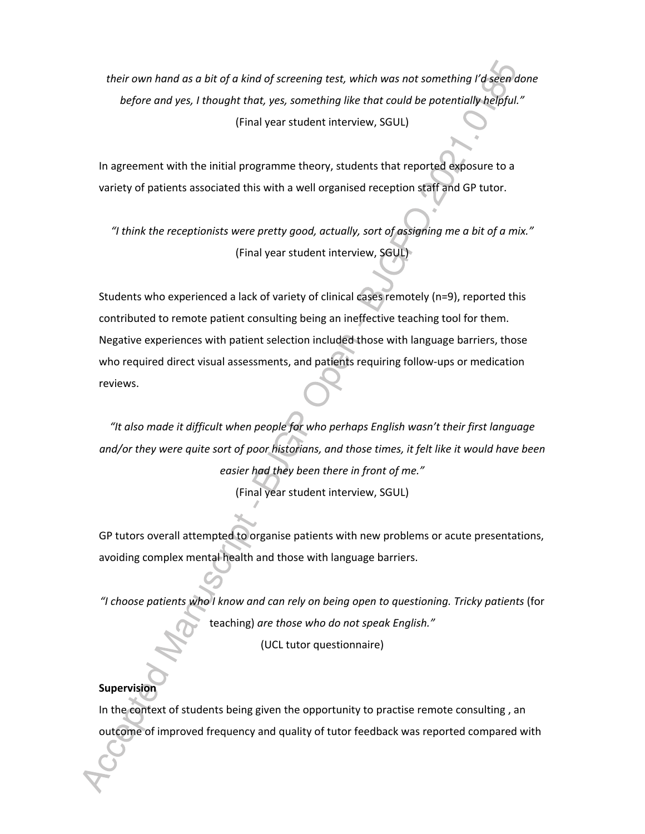*their own hand as a bit of a kind of screening test, which was not something I'd seen done before and yes, I thought that, yes, something like that could be potentially helpful."* (Final year student interview, SGUL)

In agreement with the initial programme theory, students that reported exposure to a variety of patients associated this with a well organised reception staff and GP tutor.

*"I think the receptionists were pretty good, actually, sort of assigning me a bit of a mix."* (Final year student interview, SGUL)

Students who experienced a lack of variety of clinical cases remotely (n=9), reported this contributed to remote patient consulting being an ineffective teaching tool for them. Negative experiences with patient selection included those with language barriers, those who required direct visual assessments, and patients requiring follow-ups or medication reviews.

*"It also made it difficult when people for who perhaps English wasn't their first language and/or they were quite sort of poor historians, and those times, it felt like it would have been easier had they been there in front of me."* (Final year student interview, SGUL)

GP tutors overall attempted to organise patients with new problems or acute presentations, avoiding complex mental health and those with language barriers.

*"I choose patients who I know and can rely on being open to questioning. Tricky patients* (for teaching) *are those who do not speak English."* (UCL tutor questionnaire)

#### **Supervision**

In the context of students being given the opportunity to practise remote consulting , an outcome of improved frequency and quality of tutor feedback was reported compared with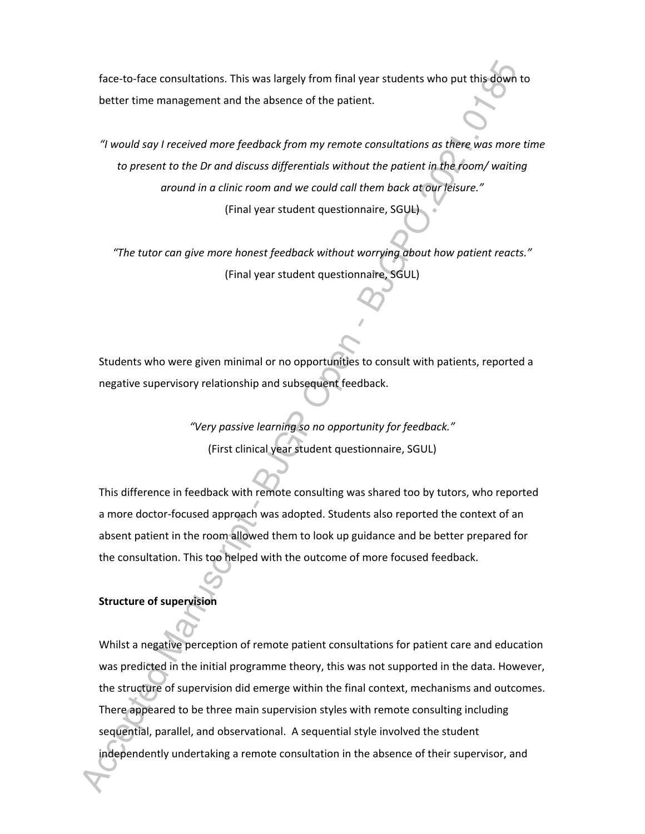face-to-face consultations. This was largely from final year students who put this down to better time management and the absence of the patient.

*"I would say I received more feedback from my remote consultations as there was more time to present to the Dr and discuss differentials without the patient in the room/ waiting around in a clinic room and we could call them back at our leisure."* (Final year student questionnaire, SGUL)

*"The tutor can give more honest feedback without worrying about how patient reacts."* (Final year student questionnaire, SGUL)

Students who were given minimal or no opportunities to consult with patients, reported a negative supervisory relationship and subsequent feedback.

> *"Very passive learning so no opportunity for feedback."* (First clinical year student questionnaire, SGUL)

This difference in feedback with remote consulting was shared too by tutors, who reported a more doctor-focused approach was adopted. Students also reported the context of an absent patient in the room allowed them to look up guidance and be better prepared for the consultation. This too helped with the outcome of more focused feedback.

#### **Structure of supervision**

Whilst a negative perception of remote patient consultations for patient care and education was predicted in the initial programme theory, this was not supported in the data. However, the structure of supervision did emerge within the final context, mechanisms and outcomes. There appeared to be three main supervision styles with remote consulting including sequential, parallel, and observational. A sequential style involved the student independently undertaking a remote consultation in the absence of their supervisor, and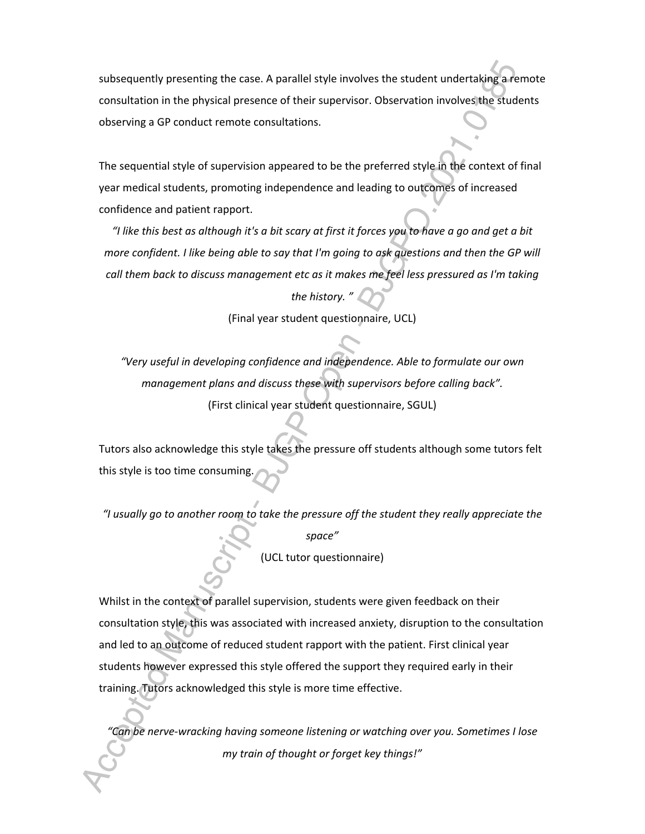subsequently presenting the case. A parallel style involves the student undertaking a remote consultation in the physical presence of their supervisor. Observation involves the students observing a GP conduct remote consultations.

The sequential style of supervision appeared to be the preferred style in the context of final year medical students, promoting independence and leading to outcomes of increased confidence and patient rapport.

*"I like this best as although it's a bit scary at first it forces you to have a go and get a bit more confident. I like being able to say that I'm going to ask questions and then the GP will call them back to discuss management etc as it makes me feel less pressured as I'm taking the history. "*

(Final year student questionnaire, UCL)

*"Very useful in developing confidence and independence. Able to formulate our own management plans and discuss these with supervisors before calling back".*  (First clinical year student questionnaire, SGUL)

Tutors also acknowledge this style takes the pressure off students although some tutors felt this style is too time consuming.

*"I usually go to another room to take the pressure off the student they really appreciate the* 

*space"* (UCL tutor questionnaire)

Whilst in the context of parallel supervision, students were given feedback on their consultation style, this was associated with increased anxiety, disruption to the consultation and led to an outcome of reduced student rapport with the patient. First clinical year students however expressed this style offered the support they required early in their training. Tutors acknowledged this style is more time effective.

*"Can be nerve-wracking having someone listening or watching over you. Sometimes I lose my train of thought or forget key things!"*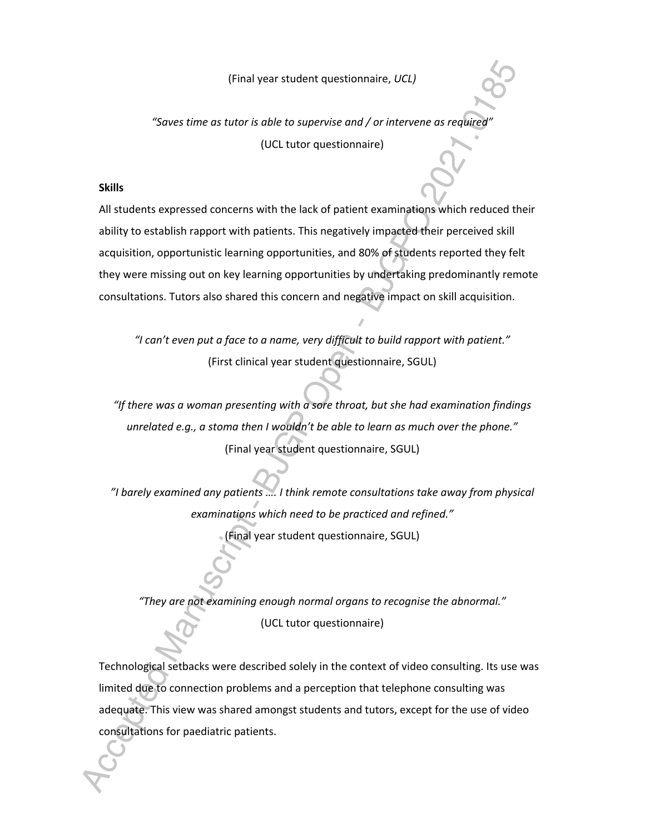(Final year student questionnaire, *UCL)*

*"Saves time as tutor is able to supervise and / or intervene as required"* (UCL tutor questionnaire)

#### **Skills**

All students expressed concerns with the lack of patient examinations which reduced their ability to establish rapport with patients. This negatively impacted their perceived skill acquisition, opportunistic learning opportunities, and 80% of students reported they felt they were missing out on key learning opportunities by undertaking predominantly remote consultations. Tutors also shared this concern and negative impact on skill acquisition.

*"I can't even put a face to a name, very difficult to build rapport with patient."* (First clinical year student questionnaire, SGUL)

*"If there was a woman presenting with a sore throat, but she had examination findings unrelated e.g., a stoma then I wouldn't be able to learn as much over the phone."* (Final year student questionnaire, SGUL)

*"I barely examined any patients …. I think remote consultations take away from physical examinations which need to be practiced and refined."* (Final year student questionnaire, SGUL)

*"They are not examining enough normal organs to recognise the abnormal."*

(UCL tutor questionnaire)

Technological setbacks were described solely in the context of video consulting. Its use was limited due to connection problems and a perception that telephone consulting was adequate. This view was shared amongst students and tutors, except for the use of video consultations for paediatric patients.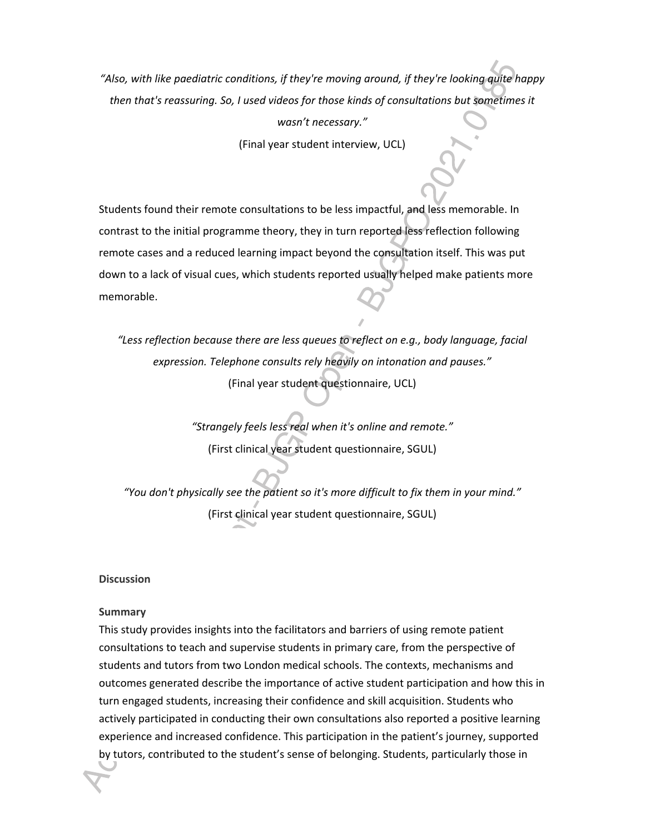*"Also, with like paediatric conditions, if they're moving around, if they're looking quite happy then that's reassuring. So, I used videos for those kinds of consultations but sometimes it* 

*wasn't necessary."*

(Final year student interview, UCL)

Students found their remote consultations to be less impactful, and less memorable. In contrast to the initial programme theory, they in turn reported less reflection following remote cases and a reduced learning impact beyond the consultation itself. This was put down to a lack of visual cues, which students reported usually helped make patients more memorable.

*"Less reflection because there are less queues to reflect on e.g., body language, facial expression. Telephone consults rely heavily on intonation and pauses."* (Final year student questionnaire, UCL)

> *"Strangely feels less real when it's online and remote."* (First clinical year student questionnaire, SGUL)

*"You don't physically see the patient so it's more difficult to fix them in your mind."* (First clinical year student questionnaire, SGUL)

#### **Discussion**

#### **Summary**

This study provides insights into the facilitators and barriers of using remote patient consultations to teach and supervise students in primary care, from the perspective of students and tutors from two London medical schools. The contexts, mechanisms and outcomes generated describe the importance of active student participation and how this in turn engaged students, increasing their confidence and skill acquisition. Students who actively participated in conducting their own consultations also reported a positive learning experience and increased confidence. This participation in the patient's journey, supported by tutors, contributed to the student's sense of belonging. Students, particularly those in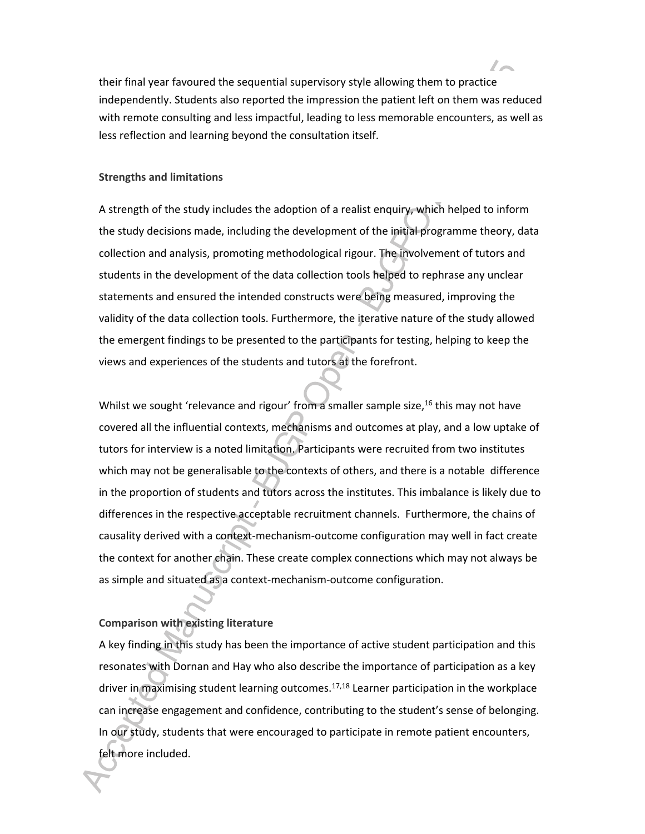their final year favoured the sequential supervisory style allowing them to practice independently. Students also reported the impression the patient left on them was reduced with remote consulting and less impactful, leading to less memorable encounters, as well as less reflection and learning beyond the consultation itself.

#### **Strengths and limitations**

A strength of the study includes the adoption of a realist enquiry, which helped to inform the study decisions made, including the development of the initial programme theory, data collection and analysis, promoting methodological rigour. The involvement of tutors and students in the development of the data collection tools helped to rephrase any unclear statements and ensured the intended constructs were being measured, improving the validity of the data collection tools. Furthermore, the iterative nature of the study allowed the emergent findings to be presented to the participants for testing, helping to keep the views and experiences of the students and tutors at the forefront.

Whilst we sought 'relevance and rigour' from a smaller sample size,<sup>16</sup> this may not have covered all the influential contexts, mechanisms and outcomes at play, and a low uptake of tutors for interview is a noted limitation. Participants were recruited from two institutes which may not be generalisable to the contexts of others, and there is a notable difference in the proportion of students and tutors across the institutes. This imbalance is likely due to differences in the respective acceptable recruitment channels. Furthermore, the chains of causality derived with a context-mechanism-outcome configuration may well in fact create the context for another chain. These create complex connections which may not always be as simple and situated as a context-mechanism-outcome configuration.

#### **Comparison with existing literature**

A key finding in this study has been the importance of active student participation and this resonates with Dornan and Hay who also describe the importance of participation as a key driver in maximising student learning outcomes.<sup>17,18</sup> Learner participation in the workplace can increase engagement and confidence, contributing to the student's sense of belonging. In our study, students that were encouraged to participate in remote patient encounters, felt more included.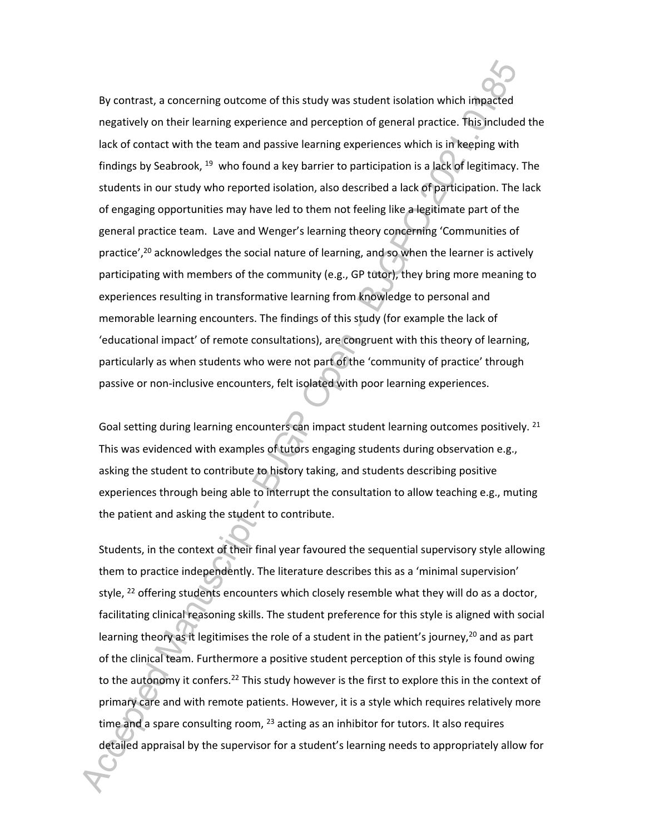By contrast, a concerning outcome of this study was student isolation which impacted negatively on their learning experience and perception of general practice. This included the lack of contact with the team and passive learning experiences which is in keeping with findings by Seabrook, <sup>19</sup> who found a key barrier to participation is a lack of legitimacy. The students in our study who reported isolation, also described a lack of participation. The lack of engaging opportunities may have led to them not feeling like a legitimate part of the general practice team. Lave and Wenger's learning theory concerning 'Communities of practice',<sup>20</sup> acknowledges the social nature of learning, and so when the learner is actively participating with members of the community (e.g., GP tutor), they bring more meaning to experiences resulting in transformative learning from knowledge to personal and memorable learning encounters. The findings of this study (for example the lack of 'educational impact' of remote consultations), are congruent with this theory of learning, particularly as when students who were not part of the 'community of practice' through passive or non-inclusive encounters, felt isolated with poor learning experiences.

Goal setting during learning encounters can impact student learning outcomes positively.<sup>21</sup> This was evidenced with examples of tutors engaging students during observation e.g., asking the student to contribute to history taking, and students describing positive experiences through being able to interrupt the consultation to allow teaching e.g., muting the patient and asking the student to contribute.

Students, in the context of their final year favoured the sequential supervisory style allowing them to practice independently. The literature describes this as a 'minimal supervision' style,  $^{22}$  offering students encounters which closely resemble what they will do as a doctor, facilitating clinical reasoning skills. The student preference for this style is aligned with social learning theory as it legitimises the role of a student in the patient's journey,<sup>20</sup> and as part of the clinical team. Furthermore a positive student perception of this style is found owing to the autonomy it confers.<sup>22</sup> This study however is the first to explore this in the context of primary care and with remote patients. However, it is a style which requires relatively more time and a spare consulting room,  $23$  acting as an inhibitor for tutors. It also requires detailed appraisal by the supervisor for a student's learning needs to appropriately allow for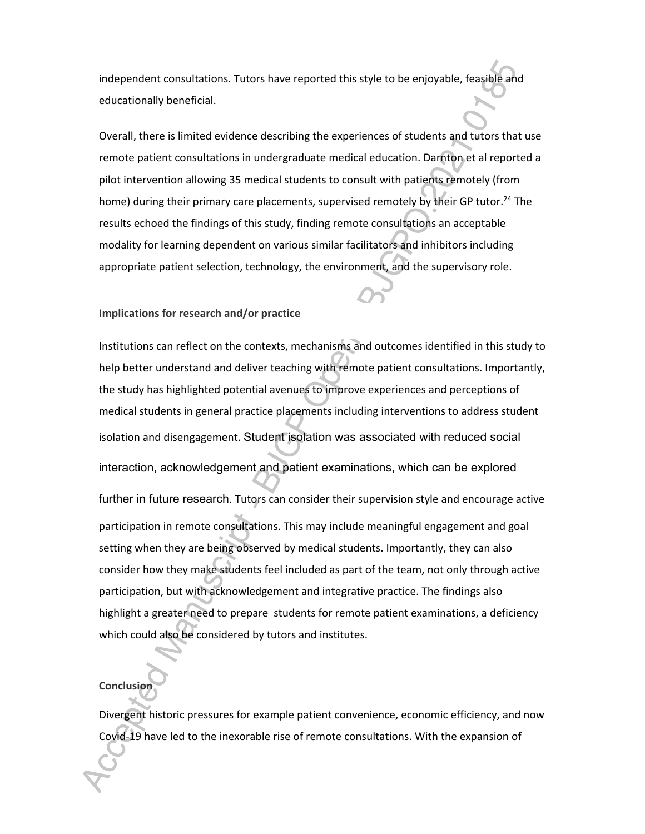independent consultations. Tutors have reported this style to be enjoyable, feasible and educationally beneficial.

Overall, there is limited evidence describing the experiences of students and tutors that use remote patient consultations in undergraduate medical education. Darnton et al reported a pilot intervention allowing 35 medical students to consult with patients remotely (from home) during their primary care placements, supervised remotely by their GP tutor.<sup>24</sup> The results echoed the findings of this study, finding remote consultations an acceptable modality for learning dependent on various similar facilitators and inhibitors including appropriate patient selection, technology, the environment, and the supervisory role.

#### **Implications for research and/or practice**

Institutions can reflect on the contexts, mechanisms and outcomes identified in this study to help better understand and deliver teaching with remote patient consultations. Importantly, the study has highlighted potential avenues to improve experiences and perceptions of medical students in general practice placements including interventions to address student isolation and disengagement. Student isolation was associated with reduced social interaction, acknowledgement and patient examinations, which can be explored further in future research. Tutors can consider their supervision style and encourage active participation in remote consultations. This may include meaningful engagement and goal setting when they are being observed by medical students. Importantly, they can also consider how they make students feel included as part of the team, not only through active participation, but with acknowledgement and integrative practice. The findings also highlight a greater need to prepare students for remote patient examinations, a deficiency which could also be considered by tutors and institutes.

### **Conclusion**

Divergent historic pressures for example patient convenience, economic efficiency, and now Covid-19 have led to the inexorable rise of remote consultations. With the expansion of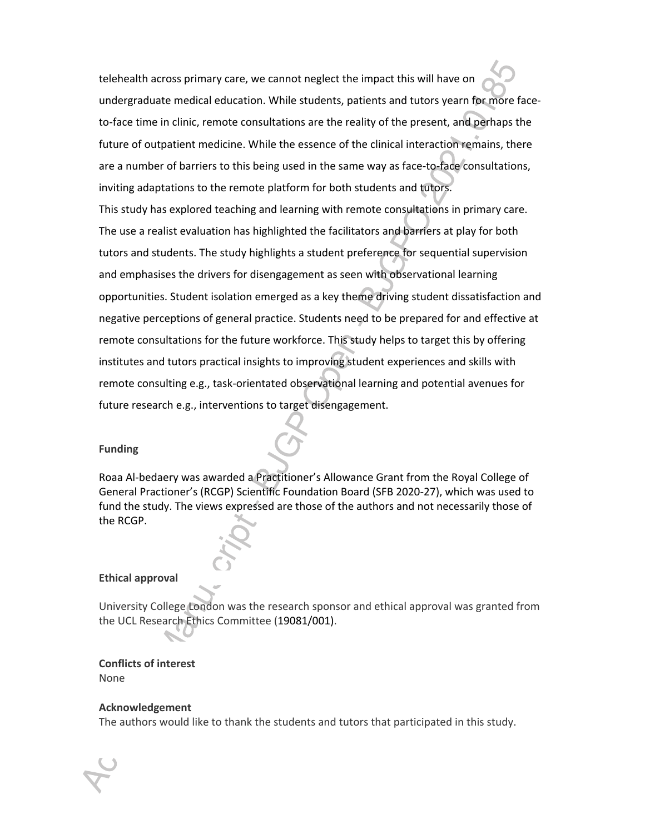telehealth across primary care, we cannot neglect the impact this will have on undergraduate medical education. While students, patients and tutors yearn for more faceto-face time in clinic, remote consultations are the reality of the present, and perhaps the future of outpatient medicine. While the essence of the clinical interaction remains, there are a number of barriers to this being used in the same way as face-to-face consultations, inviting adaptations to the remote platform for both students and tutors.

This study has explored teaching and learning with remote consultations in primary care. The use a realist evaluation has highlighted the facilitators and barriers at play for both tutors and students. The study highlights a student preference for sequential supervision and emphasises the drivers for disengagement as seen with observational learning opportunities. Student isolation emerged as a key theme driving student dissatisfaction and negative perceptions of general practice. Students need to be prepared for and effective at remote consultations for the future workforce. This study helps to target this by offering institutes and tutors practical insights to improving student experiences and skills with remote consulting e.g., task-orientated observational learning and potential avenues for future research e.g., interventions to target disengagement.

#### **Funding**

Roaa Al-bedaery was awarded a Practitioner's Allowance Grant from the Royal College of General Practioner's (RCGP) Scientific Foundation Board (SFB 2020-27), which was used to fund the study. The views expressed are those of the authors and not necessarily those of the RCGP.

#### **Ethical approval**

University College London was the research sponsor and ethical approval was granted from the UCL Research Ethics Committee (19081/001).

## **Conflicts of interest**

None

#### **Acknowledgement**

The authors would like to thank the students and tutors that participated in this study.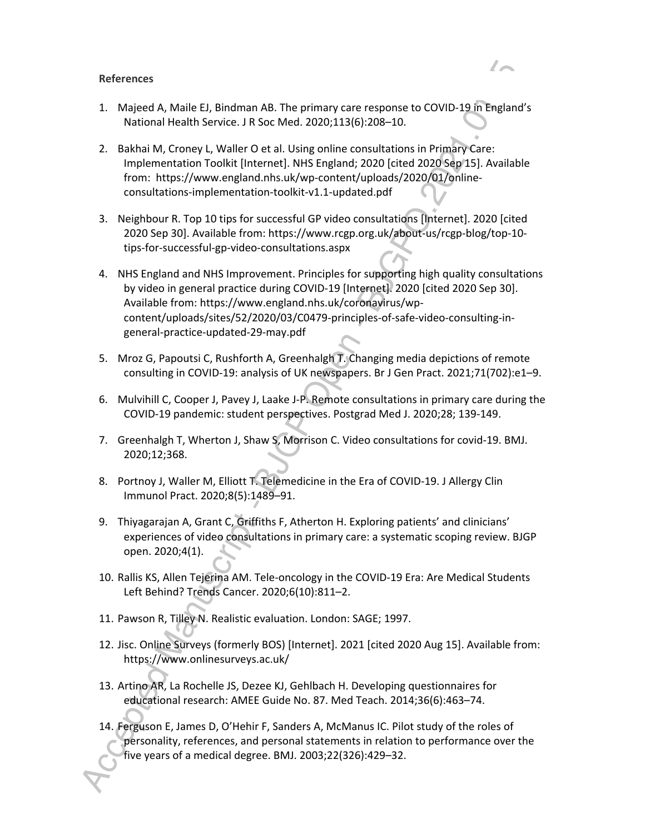#### **References**

- 1. Majeed A, Maile EJ, Bindman AB. The primary care response to COVID-19 in England's National Health Service. J R Soc Med. 2020;113(6):208–10.
- 2. Bakhai M, Croney L, Waller O et al. Using online consultations in Primary Care: Implementation Toolkit [Internet]. NHS England; 2020 [cited 2020 Sep 15]. Available from: https://www.england.nhs.uk/wp-content/uploads/2020/01/onlineconsultations-implementation-toolkit-v1.1-updated.pdf
- 3. Neighbour R. Top 10 tips for successful GP video consultations [Internet]. 2020 [cited 2020 Sep 30]. Available from: https://www.rcgp.org.uk/about-us/rcgp-blog/top-10 tips-for-successful-gp-video-consultations.aspx
- 4. NHS England and NHS Improvement. Principles for supporting high quality consultations by video in general practice during COVID-19 [Internet]. 2020 [cited 2020 Sep 30]. Available from: https://www.england.nhs.uk/coronavirus/wpcontent/uploads/sites/52/2020/03/C0479-principles-of-safe-video-consulting-ingeneral-practice-updated-29-may.pdf
- 5. Mroz G, Papoutsi C, Rushforth A, Greenhalgh T. Changing media depictions of remote consulting in COVID-19: analysis of UK newspapers. Br J Gen Pract. 2021;71(702):e1–9.
- 6. Mulvihill C, Cooper J, Pavey J, Laake J-P. Remote consultations in primary care during the COVID-19 pandemic: student perspectives. Postgrad Med J. 2020;28; 139-149.
- 7. Greenhalgh T, Wherton J, Shaw S, Morrison C. Video consultations for covid-19. BMJ. 2020;12;368.
- 8. Portnoy J, Waller M, Elliott T. Telemedicine in the Era of COVID-19. J Allergy Clin Immunol Pract. 2020;8(5):1489–91.
- 9. Thiyagarajan A, Grant C, Griffiths F, Atherton H. Exploring patients' and clinicians' experiences of video consultations in primary care: a systematic scoping review. BJGP open. 2020;4(1).
- 10. Rallis KS, Allen Tejerina AM. Tele-oncology in the COVID-19 Era: Are Medical Students Left Behind? Trends Cancer. 2020;6(10):811–2.
- 11. Pawson R, Tilley N. Realistic evaluation. London: SAGE; 1997.
- 12. Jisc. Online Surveys (formerly BOS) [Internet]. 2021 [cited 2020 Aug 15]. Available from: https://www.onlinesurveys.ac.uk/
- 13. Artino AR, La Rochelle JS, Dezee KJ, Gehlbach H. Developing questionnaires for educational research: AMEE Guide No. 87. Med Teach. 2014;36(6):463–74.
- 14. Ferguson E, James D, O'Hehir F, Sanders A, McManus IC. Pilot study of the roles of personality, references, and personal statements in relation to performance over the five years of a medical degree. BMJ. 2003;22(326):429–32.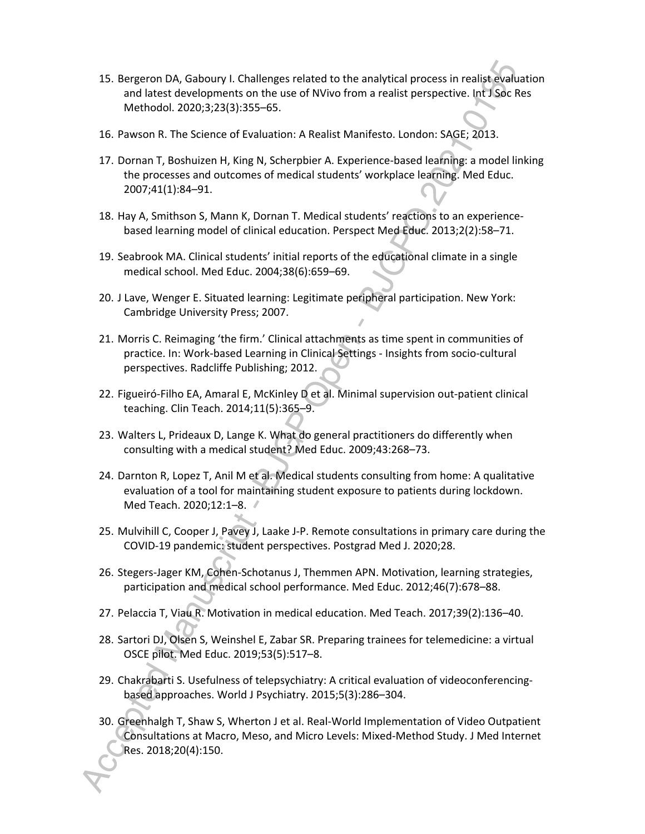- 15. Bergeron DA, Gaboury I. Challenges related to the analytical process in realist evaluation and latest developments on the use of NVivo from a realist perspective. Int J Soc Res Methodol. 2020;3;23(3):355–65.
- 16. Pawson R. The Science of Evaluation: A Realist Manifesto. London: SAGE; 2013.
- 17. Dornan T, Boshuizen H, King N, Scherpbier A. Experience-based learning: a model linking the processes and outcomes of medical students' workplace learning. Med Educ. 2007;41(1):84–91.
- 18. Hay A, Smithson S, Mann K, Dornan T. Medical students' reactions to an experiencebased learning model of clinical education. Perspect Med Educ. 2013;2(2):58–71.
- 19. Seabrook MA. Clinical students' initial reports of the educational climate in a single medical school. Med Educ. 2004;38(6):659–69.
- 20. J Lave, Wenger E. Situated learning: Legitimate peripheral participation. New York: Cambridge University Press; 2007.
- 21. Morris C. Reimaging 'the firm.' Clinical attachments as time spent in communities of practice. In: Work-based Learning in Clinical Settings - Insights from socio-cultural perspectives. Radcliffe Publishing; 2012.
- 22. Figueiró-Filho EA, Amaral E, McKinley D et al. Minimal supervision out-patient clinical teaching. Clin Teach. 2014;11(5):365–9.
- 23. Walters L, Prideaux D, Lange K. What do general practitioners do differently when consulting with a medical student? Med Educ. 2009;43:268–73.
- 24. Darnton R, Lopez T, Anil M et al. Medical students consulting from home: A qualitative evaluation of a tool for maintaining student exposure to patients during lockdown. Med Teach. 2020;12:1–8.
- 25. Mulvihill C, Cooper J, Pavey J, Laake J-P. Remote consultations in primary care during the COVID-19 pandemic: student perspectives. Postgrad Med J. 2020;28.
- 26. Stegers-Jager KM, Cohen-Schotanus J, Themmen APN. Motivation, learning strategies, participation and medical school performance. Med Educ. 2012;46(7):678–88.
- 27. Pelaccia T, Viau R. Motivation in medical education. Med Teach. 2017;39(2):136–40.
- 28. Sartori DJ, Olsen S, Weinshel E, Zabar SR. Preparing trainees for telemedicine: a virtual OSCE pilot. Med Educ. 2019;53(5):517–8.
- 29. Chakrabarti S. Usefulness of telepsychiatry: A critical evaluation of videoconferencingbased approaches. World J Psychiatry. 2015;5(3):286–304.
- 30. Greenhalgh T, Shaw S, Wherton J et al. Real-World Implementation of Video Outpatient Consultations at Macro, Meso, and Micro Levels: Mixed-Method Study. J Med Internet Res. 2018;20(4):150.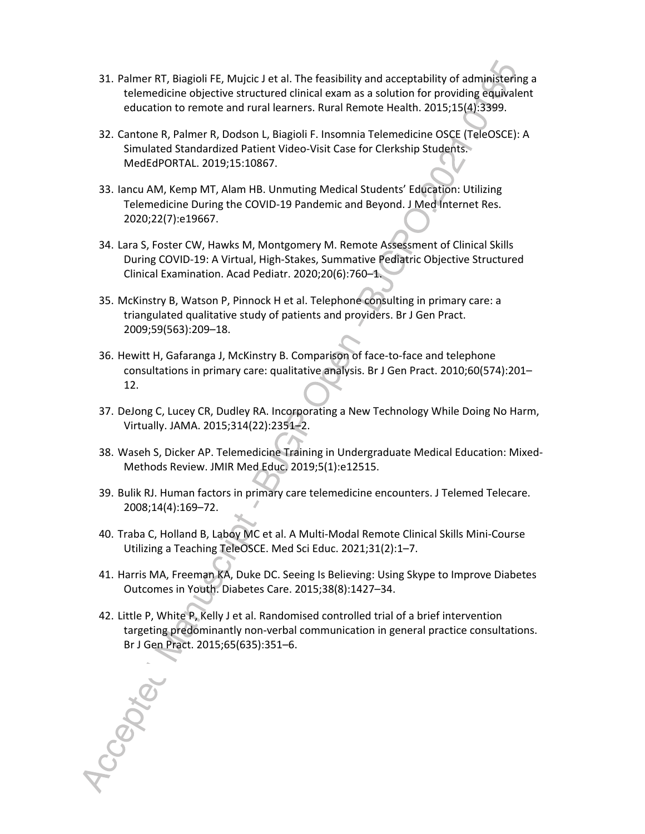- 31. Palmer RT, Biagioli FE, Mujcic J et al. The feasibility and acceptability of administering a telemedicine objective structured clinical exam as a solution for providing equivalent education to remote and rural learners. Rural Remote Health. 2015;15(4):3399.
- 32. Cantone R, Palmer R, Dodson L, Biagioli F. Insomnia Telemedicine OSCE (TeleOSCE): A Simulated Standardized Patient Video-Visit Case for Clerkship Students. MedEdPORTAL. 2019;15:10867.
- 33. Iancu AM, Kemp MT, Alam HB. Unmuting Medical Students' Education: Utilizing Telemedicine During the COVID-19 Pandemic and Beyond. J Med Internet Res. 2020;22(7):e19667.
- 34. Lara S, Foster CW, Hawks M, Montgomery M. Remote Assessment of Clinical Skills During COVID-19: A Virtual, High-Stakes, Summative Pediatric Objective Structured Clinical Examination. Acad Pediatr. 2020;20(6):760–1.
- 35. McKinstry B, Watson P, Pinnock H et al. Telephone consulting in primary care: a triangulated qualitative study of patients and providers. Br J Gen Pract. 2009;59(563):209–18.
- 36. Hewitt H, Gafaranga J, McKinstry B. Comparison of face-to-face and telephone consultations in primary care: qualitative analysis. Br J Gen Pract. 2010;60(574):201– 12.
- 37. DeJong C, Lucey CR, Dudley RA. Incorporating a New Technology While Doing No Harm, Virtually. JAMA. 2015;314(22):2351–2.
- 38. Waseh S, Dicker AP. Telemedicine Training in Undergraduate Medical Education: Mixed-Methods Review. JMIR Med Educ. 2019;5(1):e12515.
- 39. Bulik RJ. Human factors in primary care telemedicine encounters. J Telemed Telecare. 2008;14(4):169–72.
- 40. Traba C, Holland B, Laboy MC et al. A Multi-Modal Remote Clinical Skills Mini-Course Utilizing a Teaching TeleOSCE. Med Sci Educ. 2021;31(2):1–7.
- 41. Harris MA, Freeman KA, Duke DC. Seeing Is Believing: Using Skype to Improve Diabetes Outcomes in Youth. Diabetes Care. 2015;38(8):1427–34.
- 42. Little P, White P, Kelly J et al. Randomised controlled trial of a brief intervention targeting predominantly non-verbal communication in general practice consultations. Br J Gen Pract. 2015;65(635):351–6.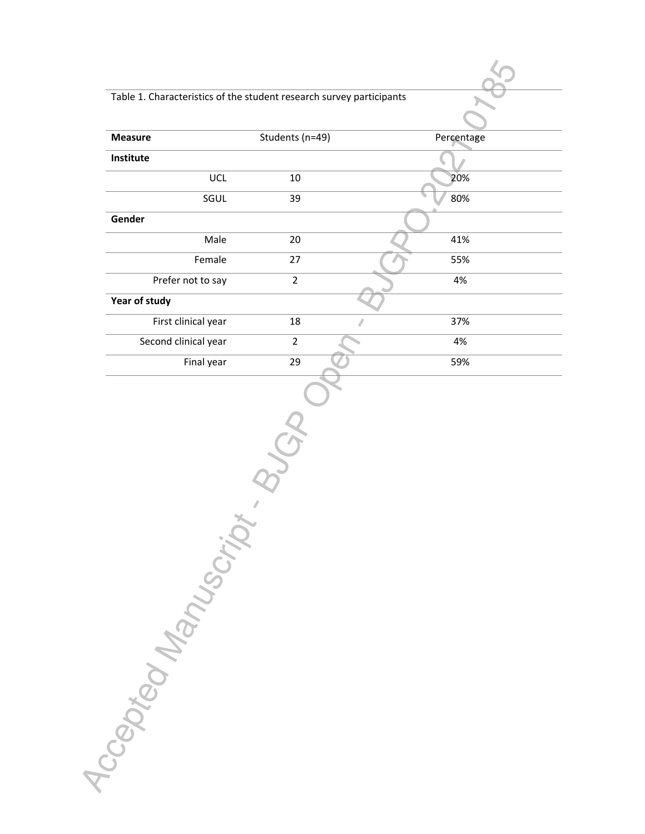## Table 1. Characteristics of the student research survey participants

| <b>Measure</b>       | Students (n=49) | Percentage |
|----------------------|-----------------|------------|
| Institute            |                 |            |
| UCL                  | $10\,$          | 20%        |
| SGUL                 | 39              | 80%        |
| Gender               |                 |            |
| Male                 | 20              | 41%        |
| Female               | 27              | 55%        |
| Prefer not to say    | $\overline{2}$  | 4%         |
| Year of study        |                 |            |
| First clinical year  | 18<br>ℤ         | 37%        |
| Second clinical year | $\overline{2}$  | 4%         |
| Final year           | 29              | 59%        |
| <b>SMAN ROAD</b>     |                 |            |
|                      |                 |            |

85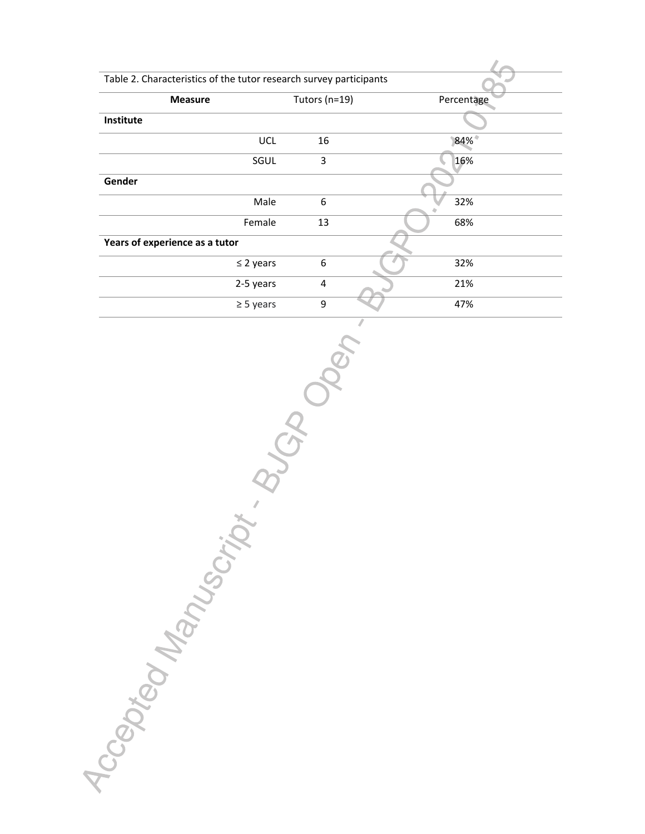| Table 2. Characteristics of the tutor research survey participants |  |  |  |  |  |  |
|--------------------------------------------------------------------|--|--|--|--|--|--|
| Tutors ( $n=19$ )<br>Percentage                                    |  |  |  |  |  |  |
|                                                                    |  |  |  |  |  |  |
| 84%                                                                |  |  |  |  |  |  |
| 16%                                                                |  |  |  |  |  |  |
|                                                                    |  |  |  |  |  |  |
| 32%                                                                |  |  |  |  |  |  |
| 68%                                                                |  |  |  |  |  |  |
| Years of experience as a tutor                                     |  |  |  |  |  |  |
| 32%                                                                |  |  |  |  |  |  |
| 21%                                                                |  |  |  |  |  |  |
| 47%                                                                |  |  |  |  |  |  |
|                                                                    |  |  |  |  |  |  |